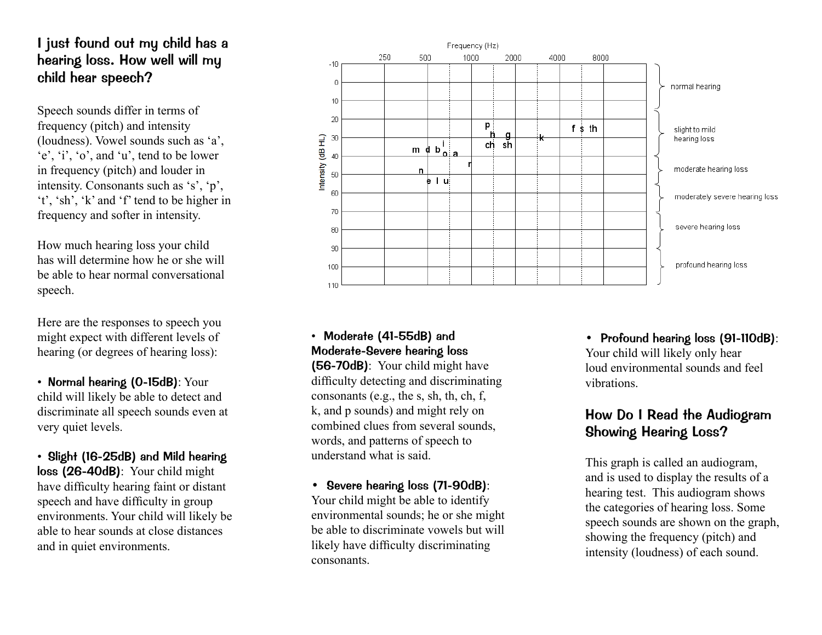## I just found out my child has a hearing loss. How well will my child hear speech?

Speech sounds differ in terms of frequency (pitch) and intensity (loudness). Vowel sounds such as 'a', 'e', 'i', 'o', and 'u', tend to be lower in frequency (pitch) and louder in intensity. Consonants such as 's', 'p', 't', 'sh', 'k' and 'f' tend to be higher in frequency and softer in intensity.

How much hearing loss your child has will determine how he or she will be able to hear normal conversational speech.

Here are the responses to speech you might expect with different levels of hearing (or degrees of hearing loss):

• Normal hearing (0-15dB): Your child will likely be able to detect and discriminate all speech sounds even at very quiet levels.

• Slight (16-25dB) and Mild hearing loss (26-40dB): Your child might have difficulty hearing faint or distant speech and have difficulty in group environments. Your child will likely be able to hear sounds at close distances and in quiet environments.



## • Moderate (41-55dB) and Moderate-Severe hearing loss

(56-70dB): Your child might have difficulty detecting and discriminating consonants (e.g., the s, sh, th, ch, f, k, and p sounds) and might rely on combined clues from several sounds, words, and patterns of speech to understand what is said.

• Severe hearing loss (71-90dB): Your child might be able to identify environmental sounds; he or she might be able to discriminate vowels but will likely have difficulty discriminating consonants.

• Profound hearing loss (91-110dB): Your child will likely only hear loud environmental sounds and feel vibrations.

## How Do I Read the Audiogram Showing Hearing Loss?

This graph is called an audiogram, and is used to display the results of a hearing test. This audiogram shows the categories of hearing loss. Some speech sounds are shown on the graph, showing the frequency (pitch) and intensity (loudness) of each sound.